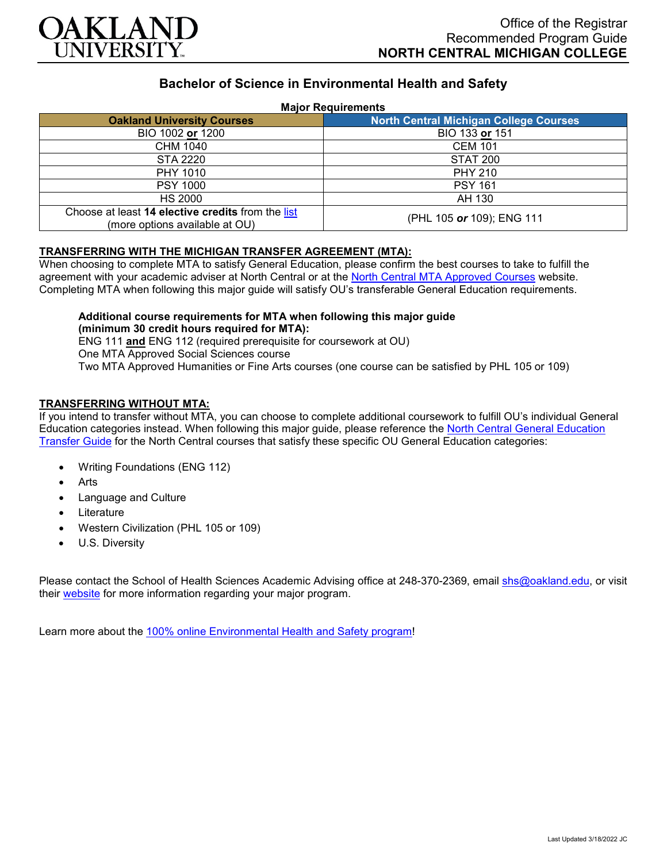

# **Bachelor of Science in Environmental Health and Safety**

#### **Major Requirements**

| <b>Oakland University Courses</b>                                                   | <b>North Central Michigan College Courses</b> |
|-------------------------------------------------------------------------------------|-----------------------------------------------|
| BIO 1002 or 1200                                                                    | BIO 133 or 151                                |
| CHM 1040                                                                            | <b>CEM 101</b>                                |
| STA 2220                                                                            | <b>STAT 200</b>                               |
| PHY 1010                                                                            | <b>PHY 210</b>                                |
| <b>PSY 1000</b>                                                                     | <b>PSY 161</b>                                |
| HS 2000                                                                             | AH 130                                        |
| Choose at least 14 elective credits from the list<br>(more options available at OU) | (PHL 105 or 109); ENG 111                     |

### **TRANSFERRING WITH THE MICHIGAN TRANSFER AGREEMENT (MTA):**

When choosing to complete MTA to satisfy General Education, please confirm the best courses to take to fulfill the agreement with your academic adviser at North Central or at the [North Central MTA Approved Courses](https://www.ncmich.edu/admissions/transfer-information/michigan-transfer-agreement-mta.html) website. Completing MTA when following this major guide will satisfy OU's transferable General Education requirements.

### **Additional course requirements for MTA when following this major guide (minimum 30 credit hours required for MTA):**

ENG 111 **and** ENG 112 (required prerequisite for coursework at OU) One MTA Approved Social Sciences course Two MTA Approved Humanities or Fine Arts courses (one course can be satisfied by PHL 105 or 109)

#### **TRANSFERRING WITHOUT MTA:**

If you intend to transfer without MTA, you can choose to complete additional coursework to fulfill OU's individual General Education categories instead. When following this major guide, please reference the [North Central General](https://www.oakland.edu/Assets/Oakland/program-guides/north-central-michigan-college/university-general-education-requirements/North%20Central%20Michigan%20Gen%20Ed.pdf) Education [Transfer Guide](https://www.oakland.edu/Assets/Oakland/program-guides/north-central-michigan-college/university-general-education-requirements/North%20Central%20Michigan%20Gen%20Ed.pdf) for the North Central courses that satisfy these specific OU General Education categories:

- Writing Foundations (ENG 112)
- Arts
- Language and Culture
- **Literature**
- Western Civilization (PHL 105 or 109)
- U.S. Diversity

Please contact the School of Health Sciences Academic Advising office at 248-370-2369, email [shs@oakland.edu,](mailto:shs@oakland.edu) or visit their [website](http://www.oakland.edu/shs/advising) for more information regarding your major program.

Learn more about the [100% online Environmental Health and Safety program!](https://www.oakland.edu/online/undergraduate-degree-programs/ehs/)